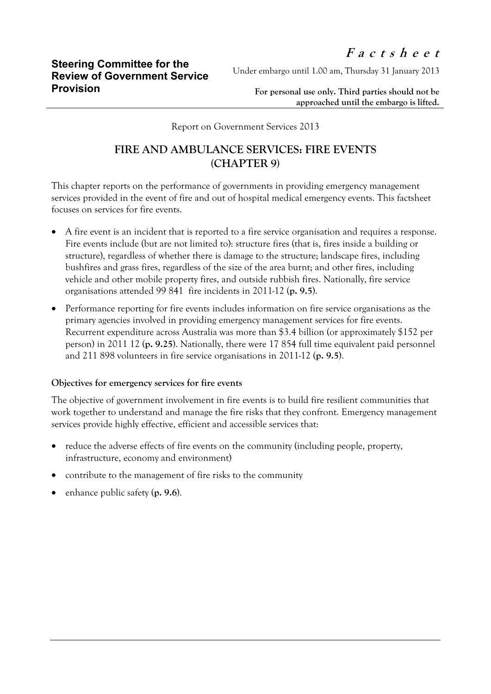Under embargo until 1.00 am, Thursday 31 January 2013

**For personal use only. Third parties should not be approached until the embargo is lifted.**

Report on Government Services 2013

## **FIRE AND AMBULANCE SERVICES: FIRE EVENTS (CHAPTER 9)**

This chapter reports on the performance of governments in providing emergency management services provided in the event of fire and out of hospital medical emergency events. This factsheet focuses on services for fire events.

- A fire event is an incident that is reported to a fire service organisation and requires a response. Fire events include (but are not limited to): structure fires (that is, fires inside a building or structure), regardless of whether there is damage to the structure; landscape fires, including bushfires and grass fires, regardless of the size of the area burnt; and other fires, including vehicle and other mobile property fires, and outside rubbish fires. Nationally, fire service organisations attended 99 841 fire incidents in 2011-12 (**p. 9.5**).
- Performance reporting for fire events includes information on fire service organisations as the primary agencies involved in providing emergency management services for fire events. Recurrent expenditure across Australia was more than \$3.4 billion (or approximately \$152 per person) in 2011 12 (**p. 9.25**). Nationally, there were 17 854 full time equivalent paid personnel and 211 898 volunteers in fire service organisations in 2011-12 (**p. 9.5**).

## **Objectives for emergency services for fire events**

The objective of government involvement in fire events is to build fire resilient communities that work together to understand and manage the fire risks that they confront. Emergency management services provide highly effective, efficient and accessible services that:

- reduce the adverse effects of fire events on the community (including people, property, infrastructure, economy and environment)
- contribute to the management of fire risks to the community
- enhance public safety (**p. 9.6**).